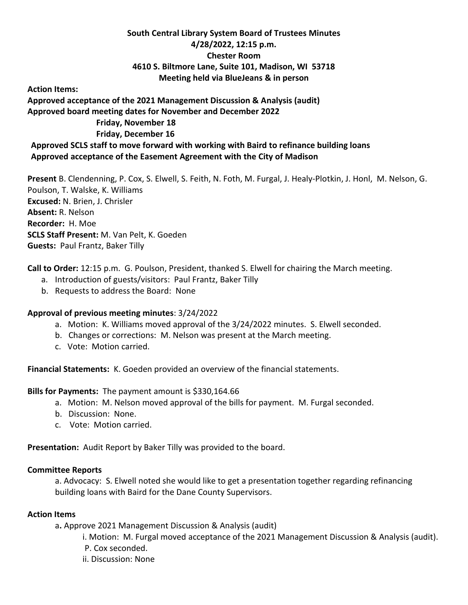## **South Central Library System Board of Trustees Minutes 4/28/2022, 12:15 p.m. Chester Room 4610 S. Biltmore Lane, Suite 101, Madison, WI 53718 Meeting held via BlueJeans & in person**

**Action Items:** 

**Approved acceptance of the 2021 Management Discussion & Analysis (audit) Approved board meeting dates for November and December 2022 Friday, November 18 Friday, December 16**

**Approved SCLS staff to move forward with working with Baird to refinance building loans Approved acceptance of the Easement Agreement with the City of Madison**

**Present** B. Clendenning, P. Cox, S. Elwell, S. Feith, N. Foth, M. Furgal, J. Healy-Plotkin, J. Honl, M. Nelson, G. Poulson, T. Walske, K. Williams **Excused:** N. Brien, J. Chrisler **Absent:** R. Nelson **Recorder:** H. Moe **SCLS Staff Present:** M. Van Pelt, K. Goeden **Guests:** Paul Frantz, Baker Tilly

**Call to Order:** 12:15 p.m. G. Poulson, President, thanked S. Elwell for chairing the March meeting.

- a. Introduction of guests/visitors: Paul Frantz, Baker Tilly
- b. Requests to address the Board: None

## **Approval of previous meeting minutes**: 3/24/2022

- a. Motion: K. Williams moved approval of the 3/24/2022 minutes. S. Elwell seconded.
- b. Changes or corrections: M. Nelson was present at the March meeting.
- c. Vote: Motion carried.

**Financial Statements:** K. Goeden provided an overview of the financial statements.

**Bills for Payments:** The payment amount is \$330,164.66

- a. Motion: M. Nelson moved approval of the bills for payment. M. Furgal seconded.
- b. Discussion: None.
- c. Vote: Motion carried.

**Presentation:** Audit Report by Baker Tilly was provided to the board.

## **Committee Reports**

a. Advocacy: S. Elwell noted she would like to get a presentation together regarding refinancing building loans with Baird for the Dane County Supervisors.

## **Action Items**

a**.** Approve 2021 Management Discussion & Analysis (audit)

i. Motion: M. Furgal moved acceptance of the 2021 Management Discussion & Analysis (audit).

- P. Cox seconded.
- ii. Discussion: None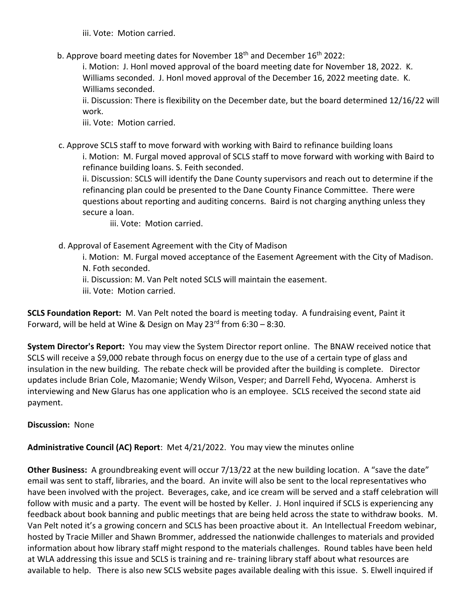iii. Vote: Motion carried.

b. Approve board meeting dates for November  $18<sup>th</sup>$  and December  $16<sup>th</sup>$  2022:

i. Motion: J. Honl moved approval of the board meeting date for November 18, 2022. K. Williams seconded. J. Honl moved approval of the December 16, 2022 meeting date. K. Williams seconded.

ii. Discussion: There is flexibility on the December date, but the board determined 12/16/22 will work.

iii. Vote: Motion carried.

c. Approve SCLS staff to move forward with working with Baird to refinance building loans i. Motion: M. Furgal moved approval of SCLS staff to move forward with working with Baird to refinance building loans. S. Feith seconded.

ii. Discussion: SCLS will identify the Dane County supervisors and reach out to determine if the refinancing plan could be presented to the Dane County Finance Committee. There were questions about reporting and auditing concerns. Baird is not charging anything unless they secure a loan.

iii. Vote: Motion carried.

- d. Approval of Easement Agreement with the City of Madison
	- i. Motion: M. Furgal moved acceptance of the Easement Agreement with the City of Madison. N. Foth seconded.
	- ii. Discussion: M. Van Pelt noted SCLS will maintain the easement.
	- iii. Vote: Motion carried.

**SCLS Foundation Report:** M. Van Pelt noted the board is meeting today. A fundraising event, Paint it Forward, will be held at Wine & Design on May  $23^{rd}$  from  $6:30 - 8:30$ .

**System Director's Report:** You may view the System Director report online. The BNAW received notice that SCLS will receive a \$9,000 rebate through focus on energy due to the use of a certain type of glass and insulation in the new building. The rebate check will be provided after the building is complete. Director updates include Brian Cole, Mazomanie; Wendy Wilson, Vesper; and Darrell Fehd, Wyocena. Amherst is interviewing and New Glarus has one application who is an employee. SCLS received the second state aid payment.

**Discussion:** None

**Administrative Council (AC) Report**: Met 4/21/2022. You may view the minutes online

**Other Business:** A groundbreaking event will occur 7/13/22 at the new building location. A "save the date" email was sent to staff, libraries, and the board. An invite will also be sent to the local representatives who have been involved with the project. Beverages, cake, and ice cream will be served and a staff celebration will follow with music and a party. The event will be hosted by Keller. J. Honl inquired if SCLS is experiencing any feedback about book banning and public meetings that are being held across the state to withdraw books. M. Van Pelt noted it's a growing concern and SCLS has been proactive about it. An Intellectual Freedom webinar, hosted by Tracie Miller and Shawn Brommer, addressed the nationwide challenges to materials and provided information about how library staff might respond to the materials challenges. Round tables have been held at WLA addressing this issue and SCLS is training and re- training library staff about what resources are available to help. There is also new SCLS website pages available dealing with this issue. S. Elwell inquired if